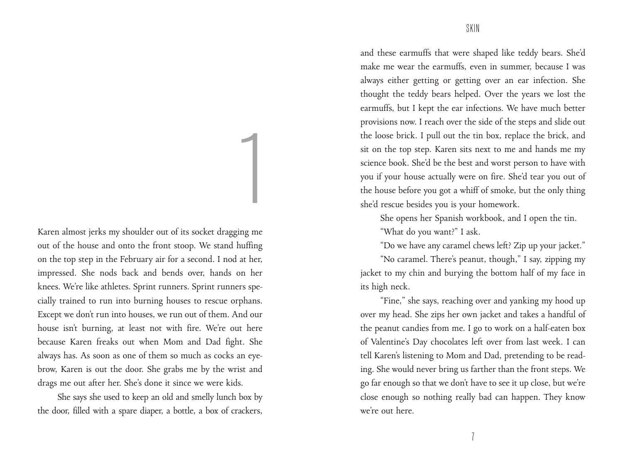Karen almost jerks my shoulder out of its socket dragging me out of the house and onto the front stoop. We stand huffing on the top step in the February air for a second. I nod at her, impressed. She nods back and bends over, hands on her knees. We're like athletes. Sprint runners. Sprint runners specially trained to run into burning houses to rescue orphans. Except we don't run into houses, we run out of them. And our house isn't burning, at least not with fire. We're out here because Karen freaks out when Mom and Dad fight. She always has. As soon as one of them so much as cocks an eyebrow, Karen is out the door. She grabs me by the wrist and drags me out after her. She's done it since we were kids.

1

She says she used to keep an old and smelly lunch box by the door, filled with a spare diaper, a bottle, a box of crackers,

and these earmuffs that were shaped like teddy bears. She'd make me wear the earmuffs, even in summer, because I was always either getting or getting over an ear infection. She thought the teddy bears helped. Over the years we lost the earmuffs, but I kept the ear infections. We have much better provisions now. I reach over the side of the steps and slide out the loose brick. I pull out the tin box, replace the brick, and sit on the top step. Karen sits next to me and hands me my science book. She'd be the best and worst person to have with you if your house actually were on fire. She'd tear you out of the house before you got a whiff of smoke, but the only thing she'd rescue besides you is your homework.

She opens her Spanish workbook, and I open the tin.

"What do you want?" I ask.

"Do we have any caramel chews left? Zip up your jacket."

"No caramel. There's peanut, though," I say, zipping my jacket to my chin and burying the bottom half of my face in its high neck.

"Fine," she says, reaching over and yanking my hood up over my head. She zips her own jacket and takes a handful of the peanut candies from me. I go to work on a half-eaten box of Valentine's Day chocolates left over from last week. I can tell Karen's listening to Mom and Dad, pretending to be reading. She would never bring us farther than the front steps. We go far enough so that we don't have to see it up close, but we're close enough so nothing really bad can happen. They know we're out here.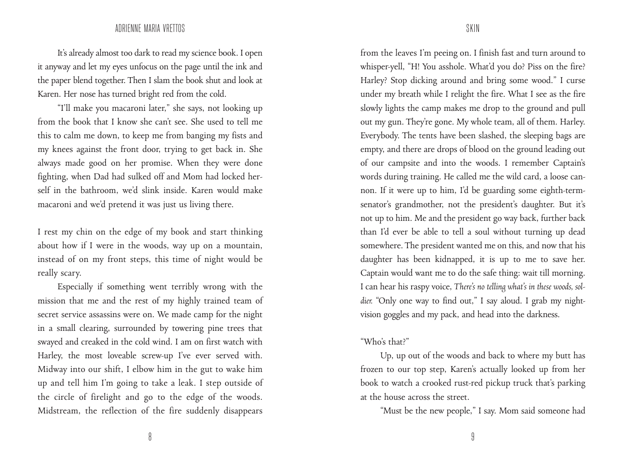## ADRIENNE MARIA VRETTOS SKIN

It's already almost too dark to read my science book. I open it anyway and let my eyes unfocus on the page until the ink and the paper blend together. Then I slam the book shut and look at Karen. Her nose has turned bright red from the cold.

"I'll make you macaroni later," she says, not looking up from the book that I know she can't see. She used to tell me this to calm me down, to keep me from banging my fists and my knees against the front door, trying to get back in. She always made good on her promise. When they were done fighting, when Dad had sulked off and Mom had locked herself in the bathroom, we'd slink inside. Karen would make macaroni and we'd pretend it was just us living there.

I rest my chin on the edge of my book and start thinking about how if I were in the woods, way up on a mountain, instead of on my front steps, this time of night would be really scary.

Especially if something went terribly wrong with the mission that me and the rest of my highly trained team of secret service assassins were on. We made camp for the night in a small clearing, surrounded by towering pine trees that swayed and creaked in the cold wind. I am on first watch with Harley, the most loveable screw-up I've ever served with. Midway into our shift, I elbow him in the gut to wake him up and tell him I'm going to take a leak. I step outside of the circle of firelight and go to the edge of the woods. Midstream, the reflection of the fire suddenly disappears

from the leaves I'm peeing on. I finish fast and turn around to whisper-yell, "H! You asshole. What'd you do? Piss on the fire? Harley? Stop dicking around and bring some wood." I curse under my breath while I relight the fire. What I see as the fire slowly lights the camp makes me drop to the ground and pull out my gun. They're gone. My whole team, all of them. Harley. Everybody. The tents have been slashed, the sleeping bags are empty, and there are drops of blood on the ground leading out of our campsite and into the woods. I remember Captain's words during training. He called me the wild card, a loose cannon. If it were up to him, I'd be guarding some eighth-termsenator's grandmother, not the president's daughter. But it's not up to him. Me and the president go way back, further back than I'd ever be able to tell a soul without turning up dead somewhere. The president wanted me on this, and now that his daughter has been kidnapped, it is up to me to save her. Captain would want me to do the safe thing: wait till morning. I can hear his raspy voice, *There's no telling what's in these woods, soldier.* "Only one way to find out," I say aloud. I grab my nightvision goggles and my pack, and head into the darkness.

## "Who's that?"

Up, up out of the woods and back to where my butt has frozen to our top step, Karen's actually looked up from her book to watch a crooked rust-red pickup truck that's parking at the house across the street.

"Must be the new people," I say. Mom said someone had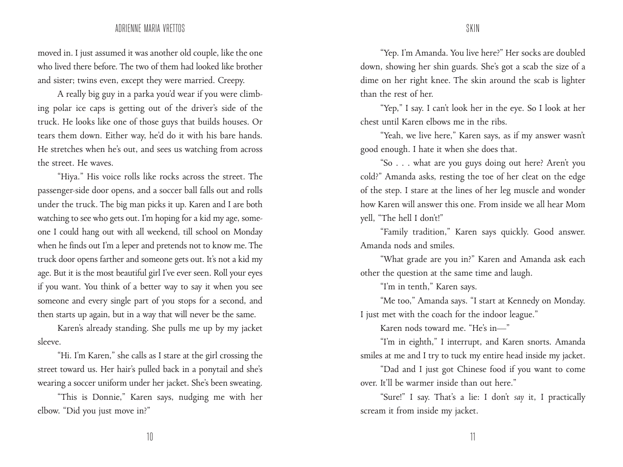## ADRIENNE MARIA VRETTOS SKIN

moved in. I just assumed it was another old couple, like the one who lived there before. The two of them had looked like brother and sister; twins even, except they were married. Creepy.

A really big guy in a parka you'd wear if you were climbing polar ice caps is getting out of the driver's side of the truck. He looks like one of those guys that builds houses. Or tears them down. Either way, he'd do it with his bare hands. He stretches when he's out, and sees us watching from across the street. He waves.

"Hiya." His voice rolls like rocks across the street. The passenger-side door opens, and a soccer ball falls out and rolls under the truck. The big man picks it up. Karen and I are both watching to see who gets out. I'm hoping for a kid my age, someone I could hang out with all weekend, till school on Monday when he finds out I'm a leper and pretends not to know me. The truck door opens farther and someone gets out. It's not a kid my age. But it is the most beautiful girl I've ever seen. Roll your eyes if you want. You think of a better way to say it when you see someone and every single part of you stops for a second, and then starts up again, but in a way that will never be the same.

Karen's already standing. She pulls me up by my jacket sleeve.

"Hi. I'm Karen," she calls as I stare at the girl crossing the street toward us. Her hair's pulled back in a ponytail and she's wearing a soccer uniform under her jacket. She's been sweating.

"This is Donnie," Karen says, nudging me with her elbow. "Did you just move in?"

"Yep. I'm Amanda. You live here?" Her socks are doubled down, showing her shin guards. She's got a scab the size of a dime on her right knee. The skin around the scab is lighter than the rest of her.

"Yep," I say. I can't look her in the eye. So I look at her chest until Karen elbows me in the ribs.

"Yeah, we live here," Karen says, as if my answer wasn't good enough. I hate it when she does that.

"So . . . what are you guys doing out here? Aren't you cold?" Amanda asks, resting the toe of her cleat on the edge of the step. I stare at the lines of her leg muscle and wonder how Karen will answer this one. From inside we all hear Mom yell, "The hell I don't!"

"Family tradition," Karen says quickly. Good answer. Amanda nods and smiles.

"What grade are you in?" Karen and Amanda ask each other the question at the same time and laugh.

"I'm in tenth," Karen says.

"Me too," Amanda says. "I start at Kennedy on Monday. I just met with the coach for the indoor league."

Karen nods toward me. "He's in—"

"I'm in eighth," I interrupt, and Karen snorts. Amanda smiles at me and I try to tuck my entire head inside my jacket.

"Dad and I just got Chinese food if you want to come over. It'll be warmer inside than out here."

"Sure!" I say. That's a lie: I don't *say* it, I practically scream it from inside my jacket.